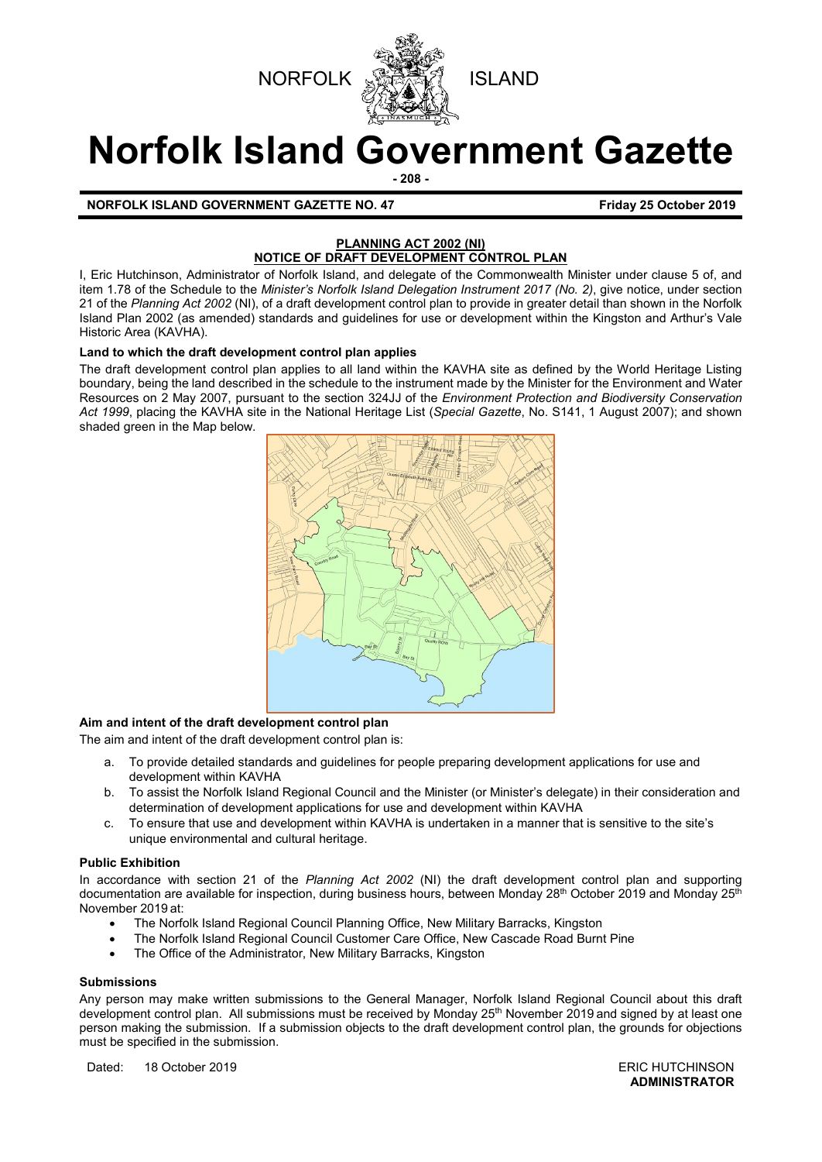



# **Norfolk Island Government Gazette**

**- 208 -**

**NORFOLK ISLAND GOVERNMENT GAZETTE NO. 47** *CONSERVERSIVE STRAND 40 Friday 25 October 2019* 

# **PLANNING ACT 2002 (NI) NOTICE OF DRAFT DEVELOPMENT CONTROL PLAN**

I, Eric Hutchinson, Administrator of Norfolk Island, and delegate of the Commonwealth Minister under clause 5 of, and item 1.78 of the Schedule to the *Minister's Norfolk Island Delegation Instrument 2017 (No. 2)*, give notice, under section 21 of the *Planning Act 2002* (NI), of a draft development control plan to provide in greater detail than shown in the Norfolk Island Plan 2002 (as amended) standards and guidelines for use or development within the Kingston and Arthur's Vale Historic Area (KAVHA).

#### **Land to which the draft development control plan applies**

The draft development control plan applies to all land within the KAVHA site as defined by the World Heritage Listing boundary, being the land described in the schedule to the instrument made by the Minister for the Environment and Water Resources on 2 May 2007, pursuant to the section 324JJ of the *Environment Protection and Biodiversity Conservation Act 1999*, placing the KAVHA site in the National Heritage List (*Special Gazette*, No. S141, 1 August 2007); and shown shaded green in the Map below.



#### **Aim and intent of the draft development control plan**

The aim and intent of the draft development control plan is:

- a. To provide detailed standards and guidelines for people preparing development applications for use and development within KAVHA
- b. To assist the Norfolk Island Regional Council and the Minister (or Minister's delegate) in their consideration and determination of development applications for use and development within KAVHA
- c. To ensure that use and development within KAVHA is undertaken in a manner that is sensitive to the site's unique environmental and cultural heritage.

#### **Public Exhibition**

In accordance with section 21 of the *Planning Act 2002* (NI) the draft development control plan and supporting documentation are available for inspection, during business hours, between Monday 28<sup>th</sup> October 2019 and Monday 25<sup>th</sup> November 2019 at:

- The Norfolk Island Regional Council Planning Office, New Military Barracks, Kingston
- The Norfolk Island Regional Council Customer Care Office, New Cascade Road Burnt Pine
- The Office of the Administrator, New Military Barracks, Kingston

#### **Submissions**

Any person may make written submissions to the General Manager, Norfolk Island Regional Council about this draft development control plan. All submissions must be received by Monday 25<sup>th</sup> November 2019 and signed by at least one person making the submission. If a submission objects to the draft development control plan, the grounds for objections must be specified in the submission.

Dated: 18 October 2019 **ERIC HUTCHINSON** 

**ADMINISTRATOR**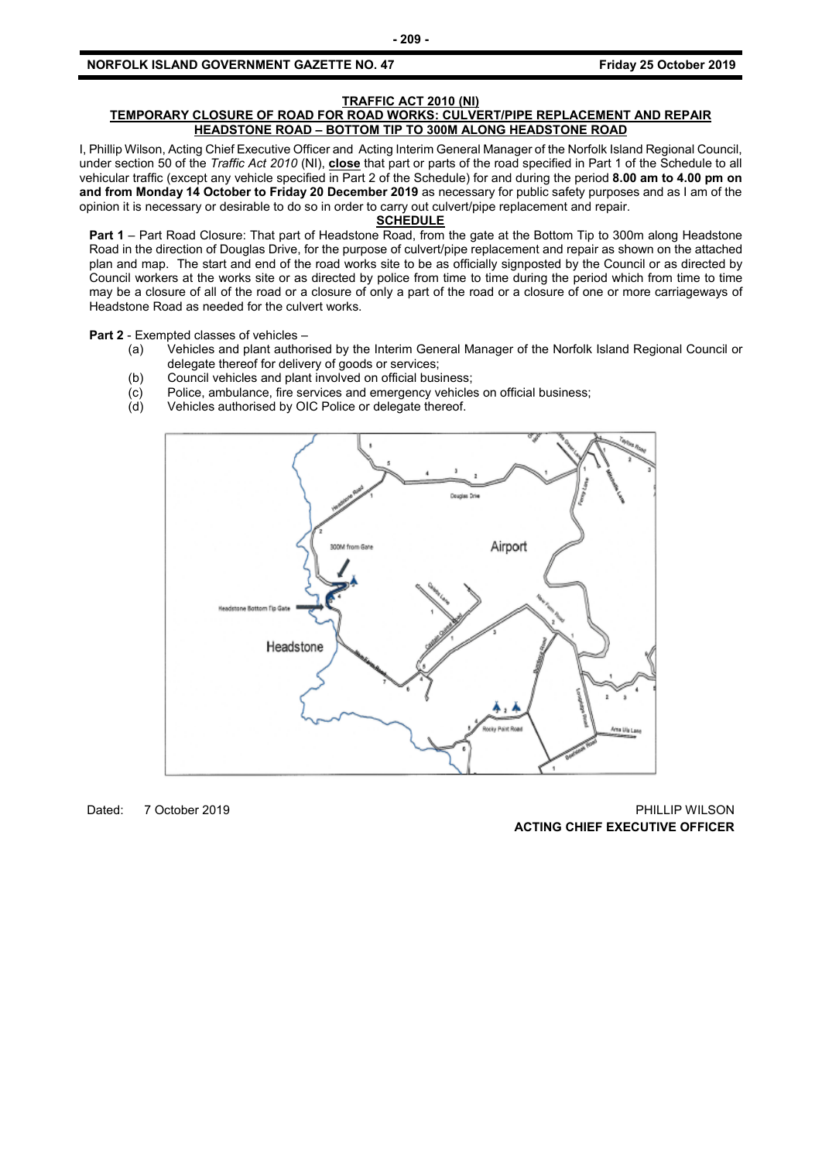#### **TRAFFIC ACT 2010 (NI)**

#### **TEMPORARY CLOSURE OF ROAD FOR ROAD WORKS: CULVERT/PIPE REPLACEMENT AND REPAIR HEADSTONE ROAD – BOTTOM TIP TO 300M ALONG HEADSTONE ROAD**

I, Phillip Wilson, Acting Chief Executive Officer and Acting Interim General Manager of the Norfolk Island Regional Council, under section 50 of the *Traffic Act 2010* (NI), **close** that part or parts of the road specified in Part 1 of the Schedule to all vehicular traffic (except any vehicle specified in Part 2 of the Schedule) for and during the period **8.00 am to 4.00 pm on and from Monday 14 October to Friday 20 December 2019** as necessary for public safety purposes and as I am of the opinion it is necessary or desirable to do so in order to carry out culvert/pipe replacement and repair.

#### **SCHEDULE**

**Part 1** – Part Road Closure: That part of Headstone Road, from the gate at the Bottom Tip to 300m along Headstone Road in the direction of Douglas Drive, for the purpose of culvert/pipe replacement and repair as shown on the attached plan and map. The start and end of the road works site to be as officially signposted by the Council or as directed by Council workers at the works site or as directed by police from time to time during the period which from time to time may be a closure of all of the road or a closure of only a part of the road or a closure of one or more carriageways of Headstone Road as needed for the culvert works.

**Part 2** - Exempted classes of vehicles –<br>(a) Vehicles and plant author

- Vehicles and plant authorised by the Interim General Manager of the Norfolk Island Regional Council or delegate thereof for delivery of goods or services;
- 
- (b) Council vehicles and plant involved on official business;<br>(c) Police, ambulance, fire services and emergency vehicle  $\overline{c}$  Police, ambulance, fire services and emergency vehicles on official business;<br>(d) Vehicles authorised by OIC Police or delegate thereof.
- Vehicles authorised by OIC Police or delegate thereof.



Dated: 7 October 2019 PHILLIP WILSON **ACTING CHIEF EXECUTIVE OFFICER**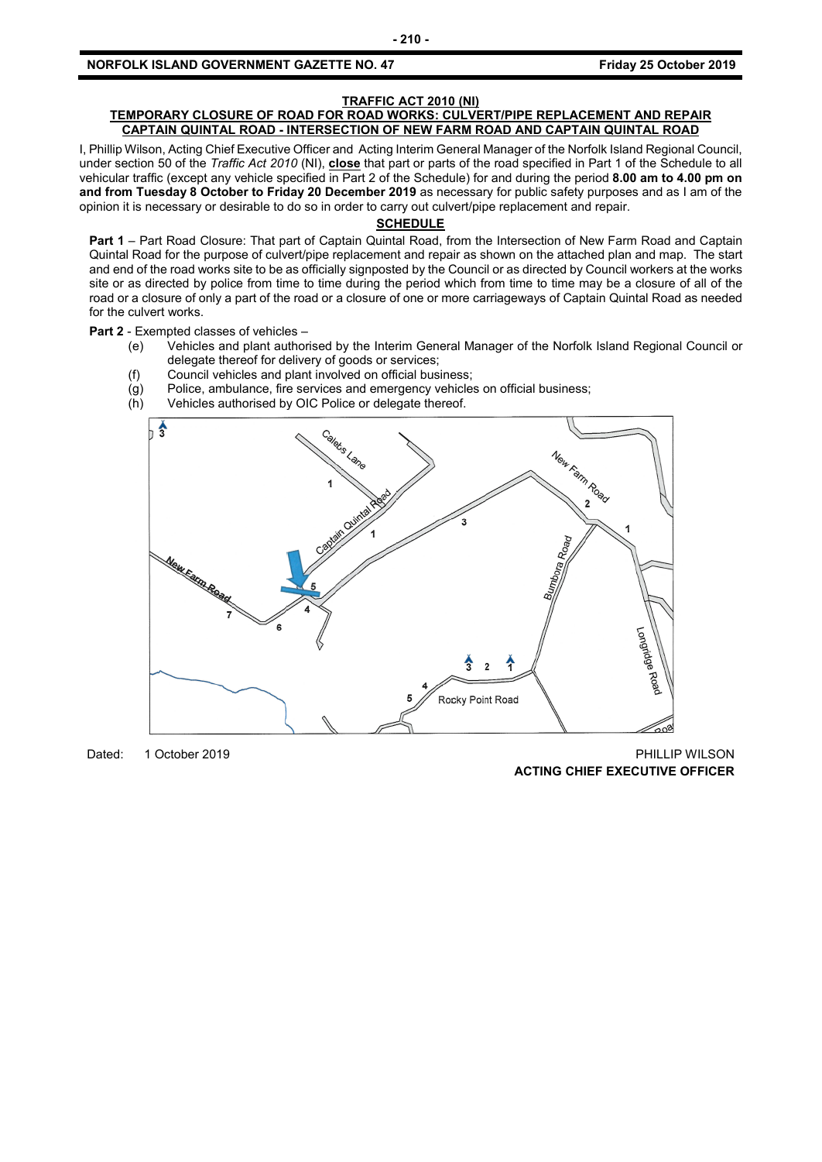#### **NORFOLK ISLAND GOVERNMENT GAZETTE NO. 47 Friday 25 October 2019**

#### **TRAFFIC ACT 2010 (NI)**

#### **TEMPORARY CLOSURE OF ROAD FOR ROAD WORKS: CULVERT/PIPE REPLACEMENT AND REPAIR CAPTAIN QUINTAL ROAD - INTERSECTION OF NEW FARM ROAD AND CAPTAIN QUINTAL ROAD**

I, Phillip Wilson, Acting Chief Executive Officer and Acting Interim General Manager of the Norfolk Island Regional Council, under section 50 of the *Traffic Act 2010* (NI), **close** that part or parts of the road specified in Part 1 of the Schedule to all vehicular traffic (except any vehicle specified in Part 2 of the Schedule) for and during the period **8.00 am to 4.00 pm on and from Tuesday 8 October to Friday 20 December 2019** as necessary for public safety purposes and as I am of the opinion it is necessary or desirable to do so in order to carry out culvert/pipe replacement and repair.

#### **SCHEDULE**

**Part 1** – Part Road Closure: That part of Captain Quintal Road, from the Intersection of New Farm Road and Captain Quintal Road for the purpose of culvert/pipe replacement and repair as shown on the attached plan and map. The start and end of the road works site to be as officially signposted by the Council or as directed by Council workers at the works site or as directed by police from time to time during the period which from time to time may be a closure of all of the road or a closure of only a part of the road or a closure of one or more carriageways of Captain Quintal Road as needed for the culvert works.

#### **Part 2** - Exempted classes of vehicles –

- (e) Vehicles and plant authorised by the Interim General Manager of the Norfolk Island Regional Council or delegate thereof for delivery of goods or services;
- (f) Council vehicles and plant involved on official business;
- $\overline{g}(g)$  Police, ambulance, fire services and emergency vehicles on official business;<br>(h) Vehicles authorised by OIC Police or delegate thereof.
- Vehicles authorised by OIC Police or delegate thereof.



Dated: 1 October 2019 PHILLIP WILSON **ACTING CHIEF EXECUTIVE OFFICER**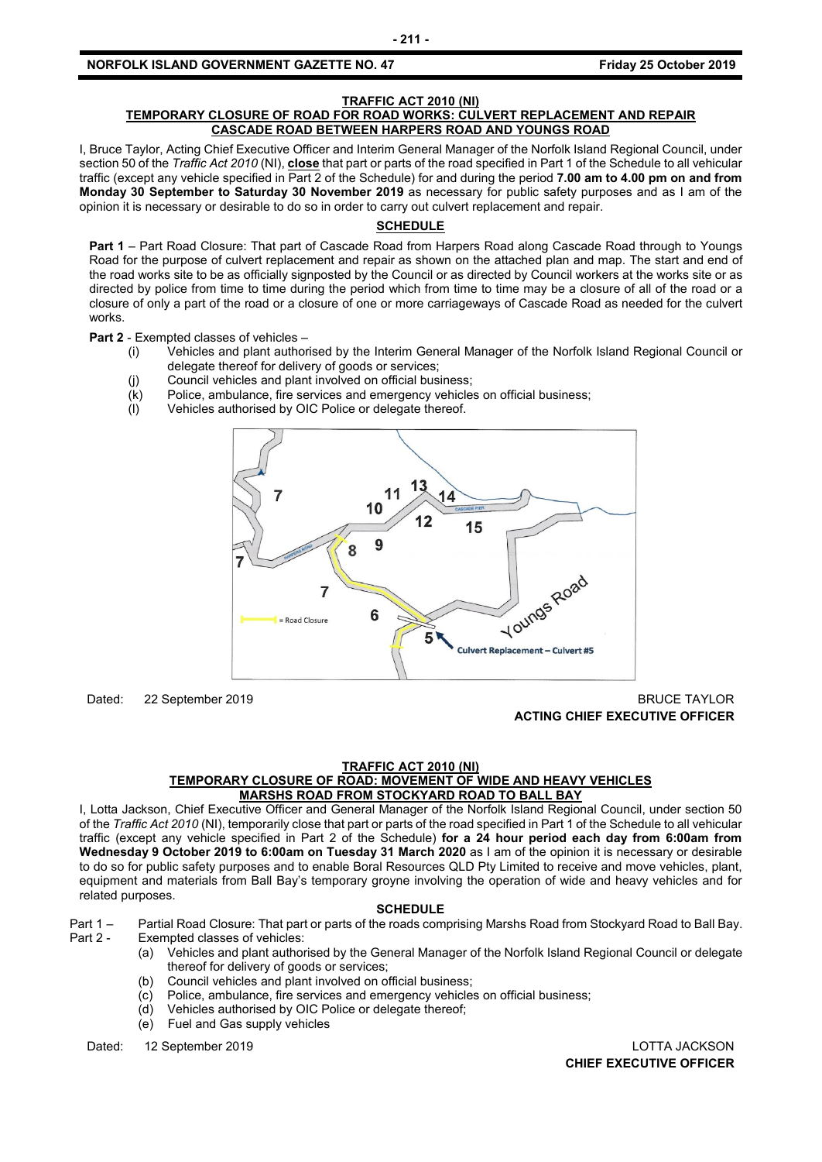#### **NORFOLK ISLAND GOVERNMENT GAZETTE NO. 47** *CONSERVERSION Friday 25 October 2019*

#### **TRAFFIC ACT 2010 (NI)**

#### **TEMPORARY CLOSURE OF ROAD FOR ROAD WORKS: CULVERT REPLACEMENT AND REPAIR CASCADE ROAD BETWEEN HARPERS ROAD AND YOUNGS ROAD**

I, Bruce Taylor, Acting Chief Executive Officer and Interim General Manager of the Norfolk Island Regional Council, under section 50 of the *Traffic Act 2010* (NI), **close** that part or parts of the road specified in Part 1 of the Schedule to all vehicular traffic (except any vehicle specified in Part 2 of the Schedule) for and during the period **7.00 am to 4.00 pm on and from Monday 30 September to Saturday 30 November 2019** as necessary for public safety purposes and as I am of the opinion it is necessary or desirable to do so in order to carry out culvert replacement and repair.

## **SCHEDULE**

**Part 1** – Part Road Closure: That part of Cascade Road from Harpers Road along Cascade Road through to Youngs Road for the purpose of culvert replacement and repair as shown on the attached plan and map. The start and end of the road works site to be as officially signposted by the Council or as directed by Council workers at the works site or as directed by police from time to time during the period which from time to time may be a closure of all of the road or a closure of only a part of the road or a closure of one or more carriageways of Cascade Road as needed for the culvert works.

**Part 2** - Exempted classes of vehicles –

- (i) Vehicles and plant authorised by the Interim General Manager of the Norfolk Island Regional Council or delegate thereof for delivery of goods or services;
	- (j) Council vehicles and plant involved on official business;
	- (k) Police, ambulance, fire services and emergency vehicles on official business;
	- (l) Vehicles authorised by OIC Police or delegate thereof.



Dated: 22 September 2019 BRUCE TAYLOR

**ACTING CHIEF EXECUTIVE OFFICER**

#### **TRAFFIC ACT 2010 (NI)**

#### **TEMPORARY CLOSURE OF ROAD: MOVEMENT OF WIDE AND HEAVY VEHICLES MARSHS ROAD FROM STOCKYARD ROAD TO BALL BAY**

I, Lotta Jackson, Chief Executive Officer and General Manager of the Norfolk Island Regional Council, under section 50 of the *Traffic Act 2010* (NI), temporarily close that part or parts of the road specified in Part 1 of the Schedule to all vehicular traffic (except any vehicle specified in Part 2 of the Schedule) **for a 24 hour period each day from 6:00am from Wednesday 9 October 2019 to 6:00am on Tuesday 31 March 2020** as I am of the opinion it is necessary or desirable to do so for public safety purposes and to enable Boral Resources QLD Pty Limited to receive and move vehicles, plant, equipment and materials from Ball Bay's temporary groyne involving the operation of wide and heavy vehicles and for related purposes.

#### **SCHEDULE**

Part 1 – Partial Road Closure: That part or parts of the roads comprising Marshs Road from Stockyard Road to Ball Bay.

- Exempted classes of vehicles:
	- (a) Vehicles and plant authorised by the General Manager of the Norfolk Island Regional Council or delegate thereof for delivery of goods or services;
	- (b) Council vehicles and plant involved on official business;
	- (c) Police, ambulance, fire services and emergency vehicles on official business;
	- (d) Vehicles authorised by OIC Police or delegate thereof;
	- (e) Fuel and Gas supply vehicles

Dated: 12 September 2019 LOTTA JACKSON

**CHIEF EXECUTIVE OFFICER**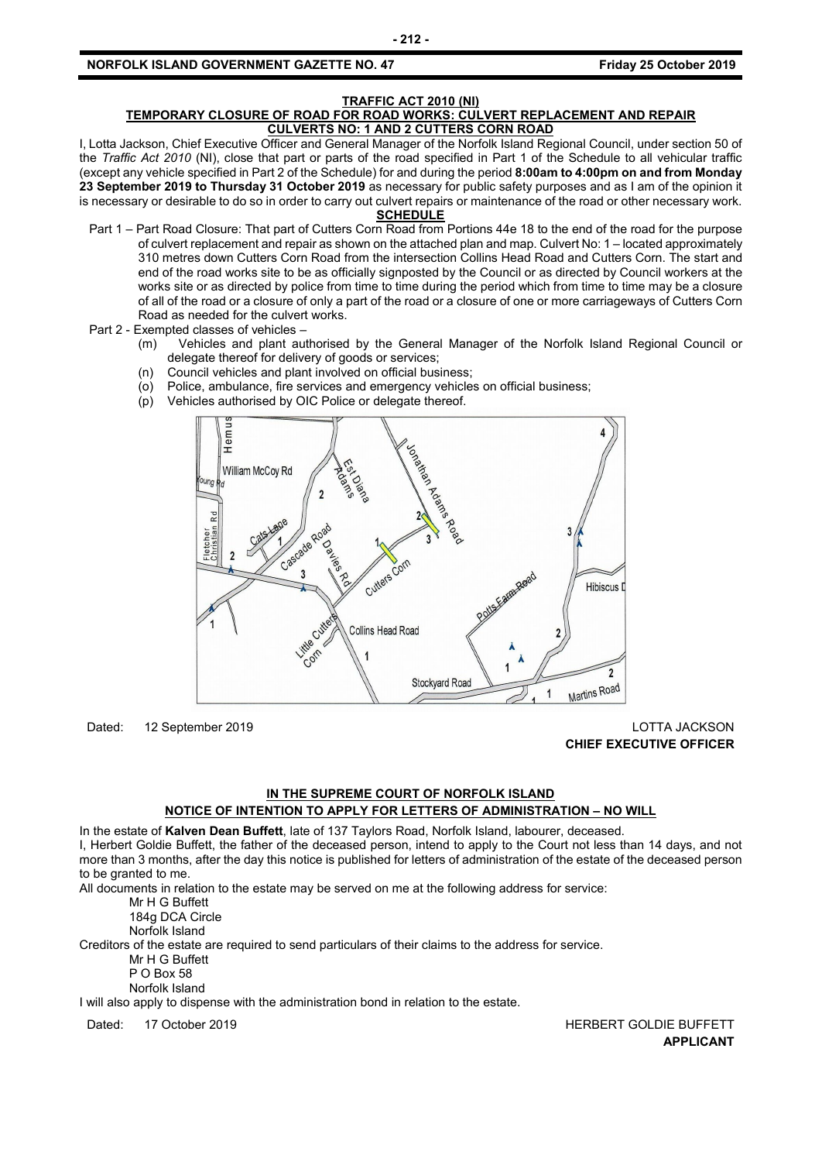#### **NORFOLK ISLAND GOVERNMENT GAZETTE NO. 47** *CONSERVERSION CONSTRUCTER SERIES 2019*

#### **TRAFFIC ACT 2010 (NI) TEMPORARY CLOSURE OF ROAD FOR ROAD WORKS: CULVERT REPLACEMENT AND REPAIR CULVERTS NO: 1 AND 2 CUTTERS CORN ROAD**

I, Lotta Jackson, Chief Executive Officer and General Manager of the Norfolk Island Regional Council, under section 50 of the *Traffic Act 2010* (NI), close that part or parts of the road specified in Part 1 of the Schedule to all vehicular traffic (except any vehicle specified in Part 2 of the Schedule) for and during the period **8:00am to 4:00pm on and from Monday 23 September 2019 to Thursday 31 October 2019** as necessary for public safety purposes and as I am of the opinion it is necessary or desirable to do so in order to carry out culvert repairs or maintenance of the road or other necessary work.

#### **SCHEDULE**

- Part 1 Part Road Closure: That part of Cutters Corn Road from Portions 44e 18 to the end of the road for the purpose of culvert replacement and repair as shown on the attached plan and map. Culvert No: 1 – located approximately 310 metres down Cutters Corn Road from the intersection Collins Head Road and Cutters Corn. The start and end of the road works site to be as officially signposted by the Council or as directed by Council workers at the works site or as directed by police from time to time during the period which from time to time may be a closure of all of the road or a closure of only a part of the road or a closure of one or more carriageways of Cutters Corn Road as needed for the culvert works.
- Part 2 Exempted classes of vehicles
	- (m) Vehicles and plant authorised by the General Manager of the Norfolk Island Regional Council or delegate thereof for delivery of goods or services;
	- (n) Council vehicles and plant involved on official business;
	- (o) Police, ambulance, fire services and emergency vehicles on official business;
	- (p) Vehicles authorised by OIC Police or delegate thereof.



Dated: 12 September 2019 LOTTA JACKSON **CHIEF EXECUTIVE OFFICER**

### **IN THE SUPREME COURT OF NORFOLK ISLAND NOTICE OF INTENTION TO APPLY FOR LETTERS OF ADMINISTRATION – NO WILL**

In the estate of **Kalven Dean Buffett**, late of 137 Taylors Road, Norfolk Island, labourer, deceased.

I, Herbert Goldie Buffett, the father of the deceased person, intend to apply to the Court not less than 14 days, and not more than 3 months, after the day this notice is published for letters of administration of the estate of the deceased person to be granted to me.

All documents in relation to the estate may be served on me at the following address for service:

Mr H G Buffett

184g DCA Circle

Norfolk Island

Creditors of the estate are required to send particulars of their claims to the address for service.

Mr H G Buffett

P O Box 58 Norfolk Island

I will also apply to dispense with the administration bond in relation to the estate.

Dated: 17 October 2019 **HERBERT GOLDIE BUFFETT APPLICANT**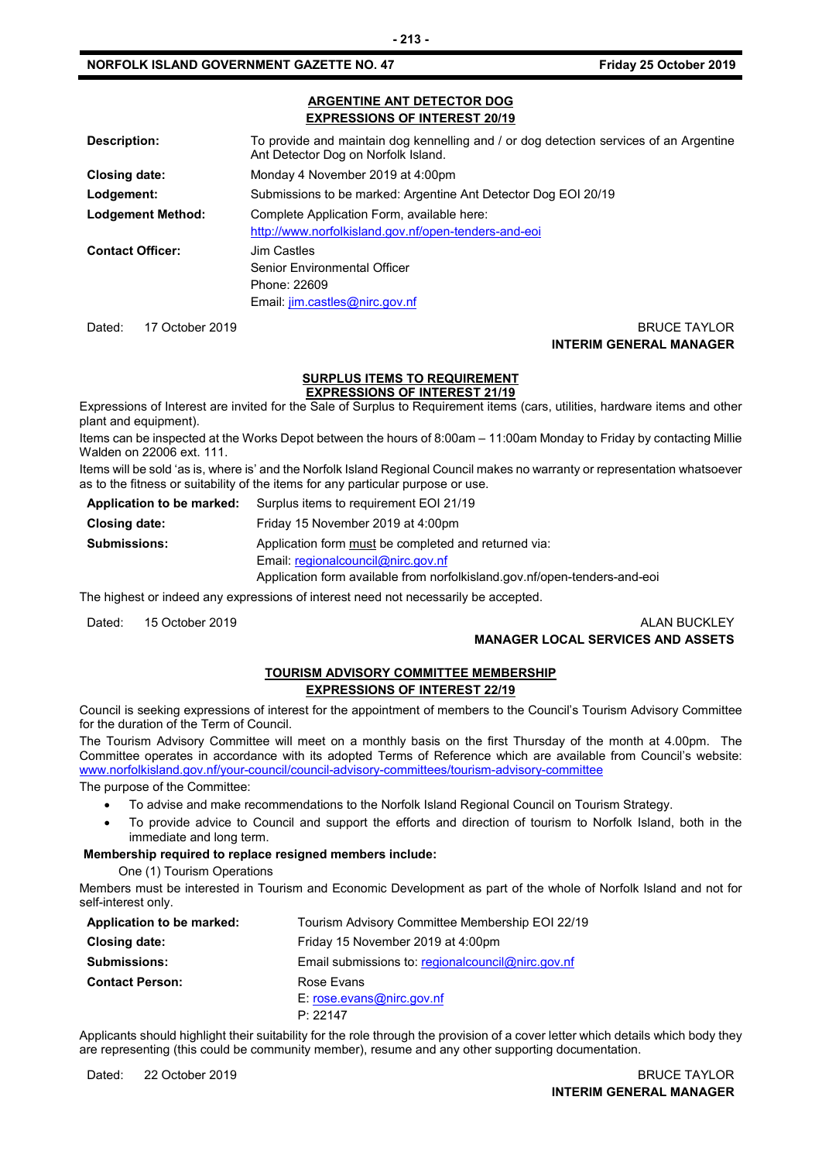#### **NORFOLK ISLAND GOVERNMENT GAZETTE NO. 47** *CONSERVERSION Friday 25 October 2019*

#### **ARGENTINE ANT DETECTOR DOG EXPRESSIONS OF INTEREST 20/19**

| Description:             | To provide and maintain dog kennelling and / or dog detection services of an Argentine<br>Ant Detector Dog on Norfolk Island. |
|--------------------------|-------------------------------------------------------------------------------------------------------------------------------|
| Closing date:            | Monday 4 November 2019 at 4:00pm                                                                                              |
| Lodgement:               | Submissions to be marked: Argentine Ant Detector Dog EOI 20/19                                                                |
| <b>Lodgement Method:</b> | Complete Application Form, available here:<br>http://www.norfolkisland.gov.nf/open-tenders-and-eoi                            |
| <b>Contact Officer:</b>  | Jim Castles<br>Senior Environmental Officer<br>Phone: 22609<br>Email: jim.castles@nirc.gov.nf                                 |

#### Dated: 17 October 2019 BRUCE TAYLOR **INTERIM GENERAL MANAGER**

#### **SURPLUS ITEMS TO REQUIREMENT**

**EXPRESSIONS OF INTEREST 21/19** Expressions of Interest are invited for the Sale of Surplus to Requirement items (cars, utilities, hardware items and other plant and equipment).

Items can be inspected at the Works Depot between the hours of 8:00am – 11:00am Monday to Friday by contacting Millie Walden on 22006 ext. 111.

Items will be sold 'as is, where is' and the Norfolk Island Regional Council makes no warranty or representation whatsoever as to the fitness or suitability of the items for any particular purpose or use.

| Application to be marked: | Surplus items to requirement EOI 21/19                                    |  |
|---------------------------|---------------------------------------------------------------------------|--|
| <b>Closing date:</b>      | Friday 15 November 2019 at 4:00pm                                         |  |
| <b>Submissions:</b>       | Application form must be completed and returned via:                      |  |
|                           | Email: regionalcouncil@nirc.gov.nf                                        |  |
|                           | Application form available from norfolkisland.gov.nf/open-tenders-and-eoi |  |

The highest or indeed any expressions of interest need not necessarily be accepted.

Dated: 15 October 2019 **ALAN BUCKLEY** 

# **MANAGER LOCAL SERVICES AND ASSETS**

# **TOURISM ADVISORY COMMITTEE MEMBERSHIP**

#### **EXPRESSIONS OF INTEREST 22/19**

Council is seeking expressions of interest for the appointment of members to the Council's Tourism Advisory Committee for the duration of the Term of Council.

The Tourism Advisory Committee will meet on a monthly basis on the first Thursday of the month at 4.00pm. The Committee operates in accordance with its adopted Terms of Reference which are available from Council's website: [www.norfolkisland.gov.nf/your-council/council-advisory-committees/tourism-advisory-committee](http://www.norfolkisland.gov.nf/your-council/council-advisory-committees/tourism-advisory-committee)

The purpose of the Committee:

- To advise and make recommendations to the Norfolk Island Regional Council on Tourism Strategy.
- To provide advice to Council and support the efforts and direction of tourism to Norfolk Island, both in the immediate and long term.

#### **Membership required to replace resigned members include:**

One (1) Tourism Operations

Members must be interested in Tourism and Economic Development as part of the whole of Norfolk Island and not for self-interest only.

| Friday 15 November 2019 at 4:00pm<br>Closing date:<br>Email submissions to: regional council @nirc.gov.nf<br><b>Submissions:</b><br><b>Contact Person:</b><br>Rose Evans<br>$E:$ rose.evans@nirc.gov.nf<br>P: 22147 | Application to be marked: | Tourism Advisory Committee Membership EOI 22/19 |
|---------------------------------------------------------------------------------------------------------------------------------------------------------------------------------------------------------------------|---------------------------|-------------------------------------------------|
|                                                                                                                                                                                                                     |                           |                                                 |
|                                                                                                                                                                                                                     |                           |                                                 |
|                                                                                                                                                                                                                     |                           |                                                 |
|                                                                                                                                                                                                                     |                           |                                                 |
|                                                                                                                                                                                                                     |                           |                                                 |

Applicants should highlight their suitability for the role through the provision of a cover letter which details which body they are representing (this could be community member), resume and any other supporting documentation.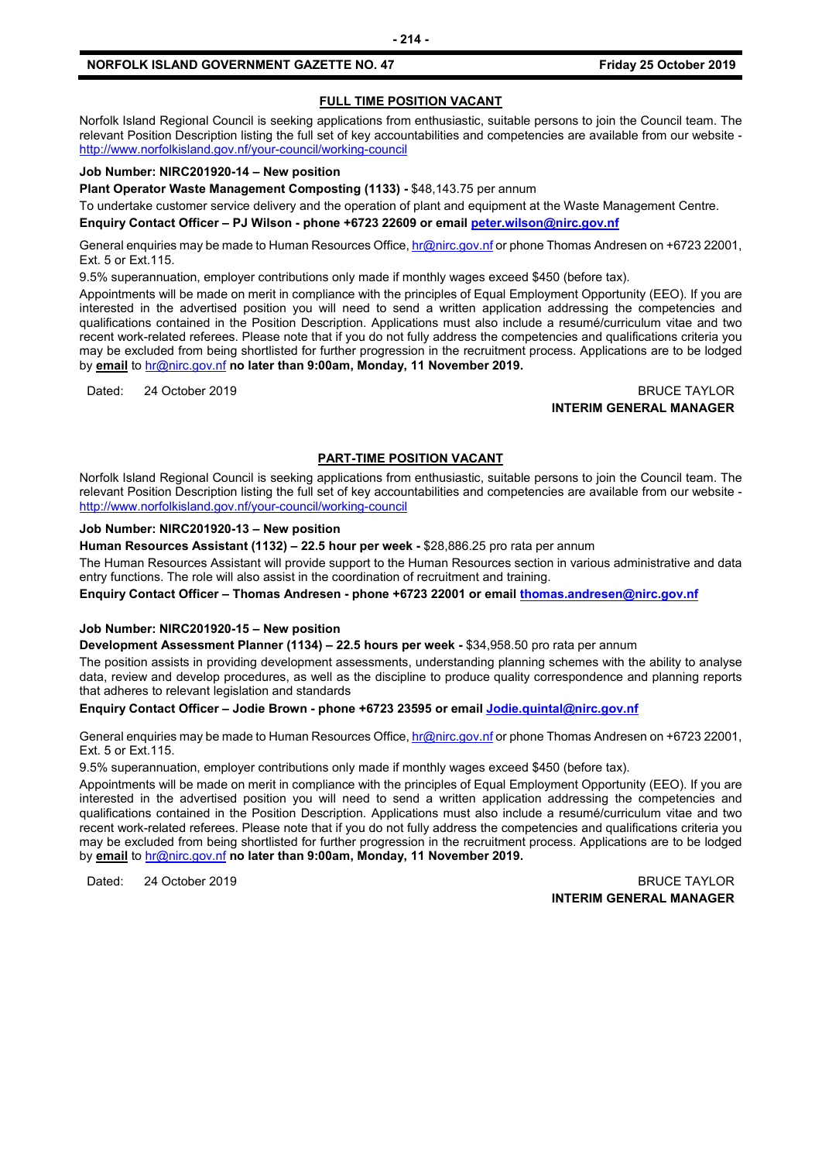#### **NORFOLK ISLAND GOVERNMENT GAZETTE NO. 47 Friday 25 October 2019**

#### **FULL TIME POSITION VACANT**

Norfolk Island Regional Council is seeking applications from enthusiastic, suitable persons to join the Council team. The relevant Position Description listing the full set of key accountabilities and competencies are available from our website <http://www.norfolkisland.gov.nf/your-council/working-council>

#### **Job Number: NIRC201920-14 – New position**

**Plant Operator Waste Management Composting (1133) -** \$48,143.75 per annum

To undertake customer service delivery and the operation of plant and equipment at the Waste Management Centre.

**Enquiry Contact Officer – PJ Wilson - phone +6723 22609 or email [peter.wilson@nirc.gov.nf](mailto:peter.wilson@nirc.gov.nf)**

General enquiries may be made to Human Resources Office[, hr@nirc.gov.nf](mailto:hr@nirc.gov.nf) or phone Thomas Andresen on +6723 22001, Ext. 5 or Ext.115.

9.5% superannuation, employer contributions only made if monthly wages exceed \$450 (before tax).

Appointments will be made on merit in compliance with the principles of Equal Employment Opportunity (EEO). If you are interested in the advertised position you will need to send a written application addressing the competencies and qualifications contained in the Position Description. Applications must also include a resumé/curriculum vitae and two recent work-related referees. Please note that if you do not fully address the competencies and qualifications criteria you may be excluded from being shortlisted for further progression in the recruitment process. Applications are to be lodged by **email** to [hr@nirc.gov.nf](mailto:hr@nirc.gov.nf) **no later than 9:00am, Monday, 11 November 2019.** 

#### Dated: 24 October 2019 BRUCE TAYLOR **INTERIM GENERAL MANAGER**

#### **PART-TIME POSITION VACANT**

Norfolk Island Regional Council is seeking applications from enthusiastic, suitable persons to join the Council team. The relevant Position Description listing the full set of key accountabilities and competencies are available from our website <http://www.norfolkisland.gov.nf/your-council/working-council>

#### **Job Number: NIRC201920-13 – New position**

**Human Resources Assistant (1132) – 22.5 hour per week -** \$28,886.25 pro rata per annum

The Human Resources Assistant will provide support to the Human Resources section in various administrative and data entry functions. The role will also assist in the coordination of recruitment and training.

**Enquiry Contact Officer – Thomas Andresen - phone +6723 22001 or email [thomas.andresen@nirc.gov.nf](mailto:thomas.andresen@nirc.gov.nf)**

#### **Job Number: NIRC201920-15 – New position**

**Development Assessment Planner (1134) – 22.5 hours per week -** \$34,958.50 pro rata per annum

The position assists in providing development assessments, understanding planning schemes with the ability to analyse data, review and develop procedures, as well as the discipline to produce quality correspondence and planning reports that adheres to relevant legislation and standards

**Enquiry Contact Officer – Jodie Brown - phone +6723 23595 or emai[l Jodie.quintal@nirc.gov.nf](mailto:Jodie.quintal@nirc.gov.nf)** 

General enquiries may be made to Human Resources Office[, hr@nirc.gov.nf](mailto:hr@nirc.gov.nf) or phone Thomas Andresen on +6723 22001, Ext. 5 or Ext.115.

9.5% superannuation, employer contributions only made if monthly wages exceed \$450 (before tax).

Appointments will be made on merit in compliance with the principles of Equal Employment Opportunity (EEO). If you are interested in the advertised position you will need to send a written application addressing the competencies and qualifications contained in the Position Description. Applications must also include a resumé/curriculum vitae and two recent work-related referees. Please note that if you do not fully address the competencies and qualifications criteria you may be excluded from being shortlisted for further progression in the recruitment process. Applications are to be lodged by **email** to [hr@nirc.gov.nf](mailto:hr@nirc.gov.nf) **no later than 9:00am, Monday, 11 November 2019.** 

Dated: 24 October 2019 BRUCE TAYLOR **INTERIM GENERAL MANAGER**